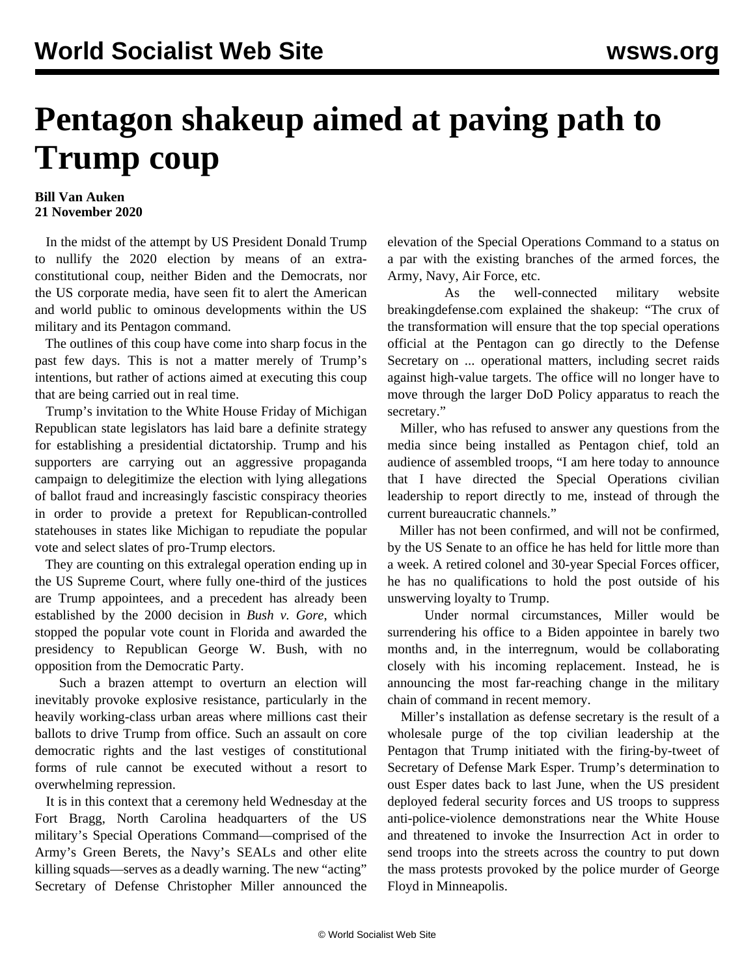## **Pentagon shakeup aimed at paving path to Trump coup**

## **Bill Van Auken 21 November 2020**

 In the midst of the attempt by US President Donald Trump to nullify the 2020 election by means of an extraconstitutional coup, neither Biden and the Democrats, nor the US corporate media, have seen fit to alert the American and world public to ominous developments within the US military and its Pentagon command.

 The outlines of this coup have come into sharp focus in the past few days. This is not a matter merely of Trump's intentions, but rather of actions aimed at executing this coup that are being carried out in real time.

 Trump's invitation to the White House Friday of Michigan Republican state legislators has laid bare a definite strategy for establishing a presidential dictatorship. Trump and his supporters are carrying out an aggressive propaganda campaign to delegitimize the election with lying allegations of ballot fraud and increasingly fascistic conspiracy theories in order to provide a pretext for Republican-controlled statehouses in states like Michigan to repudiate the popular vote and select slates of pro-Trump electors.

 They are counting on this extralegal operation ending up in the US Supreme Court, where fully one-third of the justices are Trump appointees, and a precedent has already been established by the 2000 decision in *Bush v. Gore*, which stopped the popular vote count in Florida and awarded the presidency to Republican George W. Bush, with no opposition from the Democratic Party.

 Such a brazen attempt to overturn an election will inevitably provoke explosive resistance, particularly in the heavily working-class urban areas where millions cast their ballots to drive Trump from office. Such an assault on core democratic rights and the last vestiges of constitutional forms of rule cannot be executed without a resort to overwhelming repression.

 It is in this context that a ceremony held Wednesday at the Fort Bragg, North Carolina headquarters of the US military's Special Operations Command—comprised of the Army's Green Berets, the Navy's SEALs and other elite killing squads—serves as a deadly warning. The new "acting" Secretary of Defense Christopher Miller announced the elevation of the Special Operations Command to a status on a par with the existing branches of the armed forces, the Army, Navy, Air Force, etc.

 As the well-connected military website breakingdefense.com explained the shakeup: "The crux of the transformation will ensure that the top special operations official at the Pentagon can go directly to the Defense Secretary on ... operational matters, including secret raids against high-value targets. The office will no longer have to move through the larger DoD Policy apparatus to reach the secretary."

 Miller, who has refused to answer any questions from the media since being installed as Pentagon chief, told an audience of assembled troops, "I am here today to announce that I have directed the Special Operations civilian leadership to report directly to me, instead of through the current bureaucratic channels."

 Miller has not been confirmed, and will not be confirmed, by the US Senate to an office he has held for little more than a week. A retired colonel and 30-year Special Forces officer, he has no qualifications to hold the post outside of his unswerving loyalty to Trump.

 Under normal circumstances, Miller would be surrendering his office to a Biden appointee in barely two months and, in the interregnum, would be collaborating closely with his incoming replacement. Instead, he is announcing the most far-reaching change in the military chain of command in recent memory.

 Miller's installation as defense secretary is the result of a wholesale purge of the top civilian leadership at the Pentagon that Trump initiated with the firing-by-tweet of Secretary of Defense Mark Esper. Trump's determination to oust Esper dates back to last June, when the US president deployed federal security forces and US troops to suppress anti-police-violence demonstrations near the White House and threatened to invoke the Insurrection Act in order to send troops into the streets across the country to put down the mass protests provoked by the police murder of George Floyd in Minneapolis.